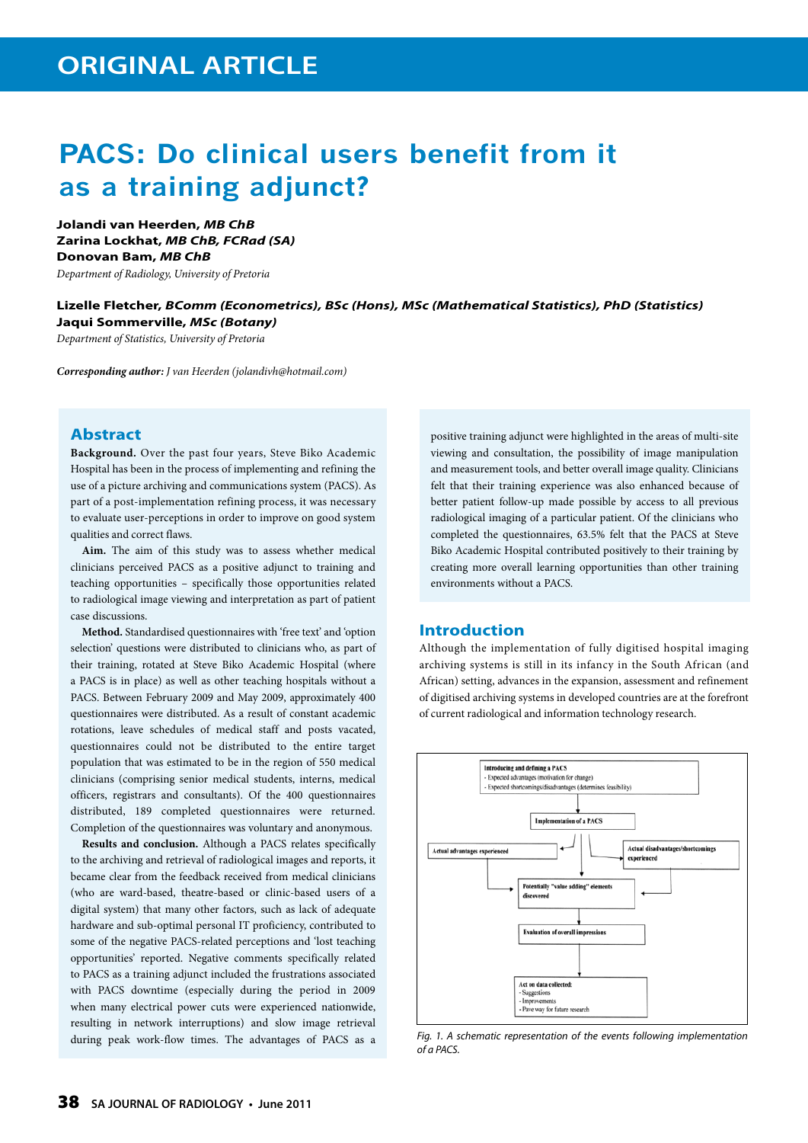# **PACS: Do clinical users benefit from it as a training adjunct?**

**Jolandi van Heerden,** *MB ChB* **Zarina Lockhat,** *MB ChB, FCRad (SA)* **Donovan Bam,** *MB ChB*

*Department of Radiology, University of Pretoria*

### **Lizelle Fletcher,** *BComm (Econometrics), BSc (Hons), MSc (Mathematical Statistics), PhD (Statistics)* **Jaqui Sommerville,** *MSc (Botany)*

*Department of Statistics, University of Pretoria*

*Corresponding author: J van Heerden (jolandivh@hotmail.com)*

### **Abstract**

**Background.** Over the past four years, Steve Biko Academic Hospital has been in the process of implementing and refining the use of a picture archiving and communications system (PACS). As part of a post-implementation refining process, it was necessary to evaluate user-perceptions in order to improve on good system qualities and correct flaws.

**Aim.** The aim of this study was to assess whether medical clinicians perceived PACS as a positive adjunct to training and teaching opportunities – specifically those opportunities related to radiological image viewing and interpretation as part of patient case discussions.

**Method.** Standardised questionnaires with 'free text' and 'option selection' questions were distributed to clinicians who, as part of their training, rotated at Steve Biko Academic Hospital (where a PACS is in place) as well as other teaching hospitals without a PACS. Between February 2009 and May 2009, approximately 400 questionnaires were distributed. As a result of constant academic rotations, leave schedules of medical staff and posts vacated, questionnaires could not be distributed to the entire target population that was estimated to be in the region of 550 medical clinicians (comprising senior medical students, interns, medical officers, registrars and consultants). Of the 400 questionnaires distributed, 189 completed questionnaires were returned. Completion of the questionnaires was voluntary and anonymous.

**Results and conclusion.** Although a PACS relates specifically to the archiving and retrieval of radiological images and reports, it became clear from the feedback received from medical clinicians (who are ward-based, theatre-based or clinic-based users of a digital system) that many other factors, such as lack of adequate hardware and sub-optimal personal IT proficiency, contributed to some of the negative PACS-related perceptions and 'lost teaching opportunities' reported. Negative comments specifically related to PACS as a training adjunct included the frustrations associated with PACS downtime (especially during the period in 2009 when many electrical power cuts were experienced nationwide, resulting in network interruptions) and slow image retrieval during peak work-flow times. The advantages of PACS as a

positive training adjunct were highlighted in the areas of multi-site viewing and consultation, the possibility of image manipulation and measurement tools, and better overall image quality. Clinicians felt that their training experience was also enhanced because of better patient follow-up made possible by access to all previous radiological imaging of a particular patient. Of the clinicians who completed the questionnaires, 63.5% felt that the PACS at Steve Biko Academic Hospital contributed positively to their training by creating more overall learning opportunities than other training environments without a PACS.

#### **Introduction**

Although the implementation of fully digitised hospital imaging archiving systems is still in its infancy in the South African (and African) setting, advances in the expansion, assessment and refinement of digitised archiving systems in developed countries are at the forefront of current radiological and information technology research.



*Fig. 1. A schematic representation of the events following implementation of a PACS.*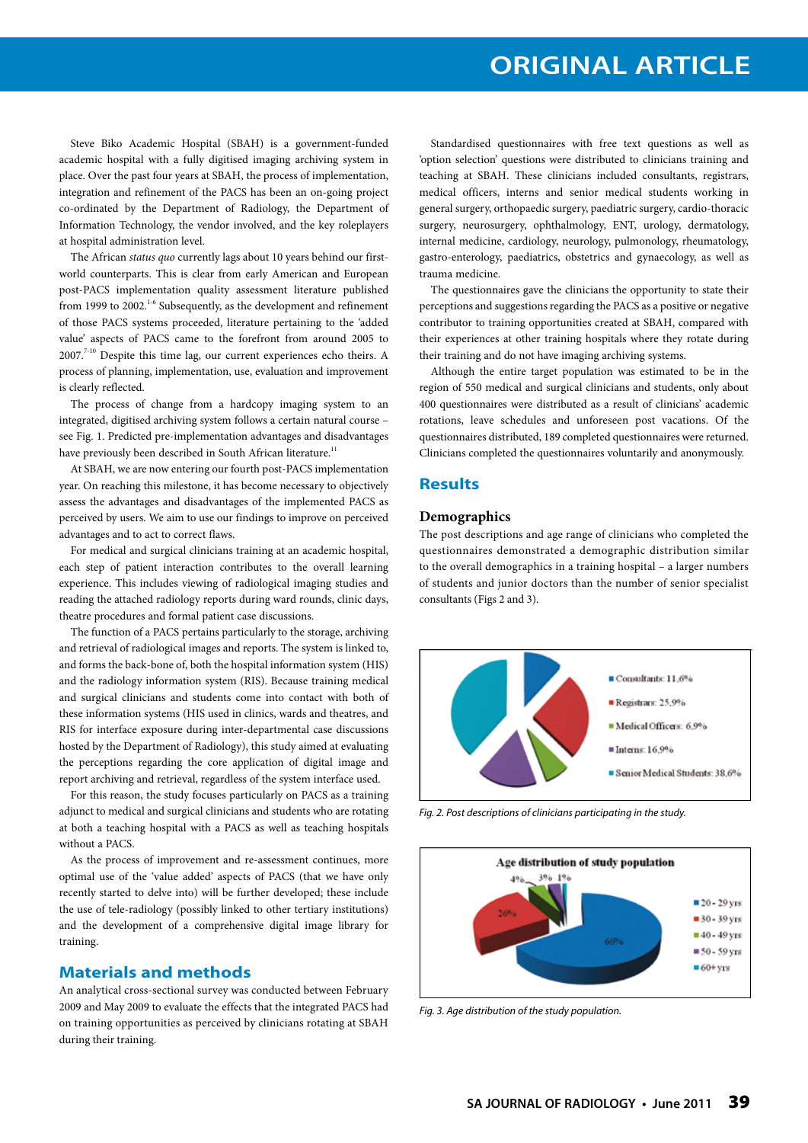## **ORIGINAL ARTICLE**

Steve Biko Academic Hospital (SBAH) is a government-funded academic hospital with a fully digitised imaging archiving system in place. Over the past four years at SBAH, the process of implementation, integration and refinement of the PACS has been an on-going project co-ordinated by the Department of Radiology, the Department of Information Technology, the vendor involved, and the key roleplayers at hospital administration level.

The African *status quo* currently lags about 10 years behind our firstworld counterparts. This is clear from early American and European post-PACS implementation quality assessment literature published from 1999 to 2002.<sup>1-6</sup> Subsequently, as the development and refinement of those PACS systems proceeded, literature pertaining to the 'added value' aspects of PACS came to the forefront from around 2005 to  $2007.^{7-10}$  Despite this time lag, our current experiences echo theirs. A process of planning, implementation, use, evaluation and improvement is clearly reflected.

The process of change from a hardcopy imaging system to an integrated, digitised archiving system follows a certain natural course – see Fig. 1. Predicted pre-implementation advantages and disadvantages have previously been described in South African literature.<sup>11</sup>

At SBAH, we are now entering our fourth post-PACS implementation year. On reaching this milestone, it has become necessary to objectively assess the advantages and disadvantages of the implemented PACS as perceived by users. We aim to use our findings to improve on perceived advantages and to act to correct flaws.

For medical and surgical clinicians training at an academic hospital, each step of patient interaction contributes to the overall learning experience. This includes viewing of radiological imaging studies and reading the attached radiology reports during ward rounds, clinic days, theatre procedures and formal patient case discussions.

The function of a PACS pertains particularly to the storage, archiving and retrieval of radiological images and reports. The system is linked to, and forms the back-bone of, both the hospital information system (HIS) and the radiology information system (RIS). Because training medical and surgical clinicians and students come into contact with both of these information systems (HIS used in clinics, wards and theatres, and RIS for interface exposure during inter-departmental case discussions hosted by the Department of Radiology), this study aimed at evaluating the perceptions regarding the core application of digital image and report archiving and retrieval, regardless of the system interface used.

For this reason, the study focuses particularly on PACS as a training adjunct to medical and surgical clinicians and students who are rotating at both a teaching hospital with a PACS as well as teaching hospitals without a PACS.

As the process of improvement and re-assessment continues, more optimal use of the 'value added' aspects of PACS (that we have only recently started to delve into) will be further developed; these include the use of tele-radiology (possibly linked to other tertiary institutions) and the development of a comprehensive digital image library for training.

### **Materials and methods**

An analytical cross-sectional survey was conducted between February 2009 and May 2009 to evaluate the effects that the integrated PACS had on training opportunities as perceived by clinicians rotating at SBAH during their training.

Standardised questionnaires with free text questions as well as 'option selection' questions were distributed to clinicians training and teaching at SBAH. These clinicians included consultants, registrars, medical officers, interns and senior medical students working in general surgery, orthopaedic surgery, paediatric surgery, cardio-thoracic surgery, neurosurgery, ophthalmology, ENT, urology, dermatology, internal medicine, cardiology, neurology, pulmonology, rheumatology, gastro-enterology, paediatrics, obstetrics and gynaecology, as well as trauma medicine.

The questionnaires gave the clinicians the opportunity to state their perceptions and suggestions regarding the PACS as a positive or negative contributor to training opportunities created at SBAH, compared with their experiences at other training hospitals where they rotate during their training and do not have imaging archiving systems.

Although the entire target population was estimated to be in the region of 550 medical and surgical clinicians and students, only about 400 questionnaires were distributed as a result of clinicians' academic rotations, leave schedules and unforeseen post vacations. Of the questionnaires distributed, 189 completed questionnaires were returned. Clinicians completed the questionnaires voluntarily and anonymously.

### **Results**

#### **Demographics**

The post descriptions and age range of clinicians who completed the questionnaires demonstrated a demographic distribution similar to the overall demographics in a training hospital – a larger numbers of students and junior doctors than the number of senior specialist consultants (Figs 2 and 3).



*Fig. 2. Post descriptions of clinicians participating in the study.*



*Fig. 3. Age distribution of the study population.*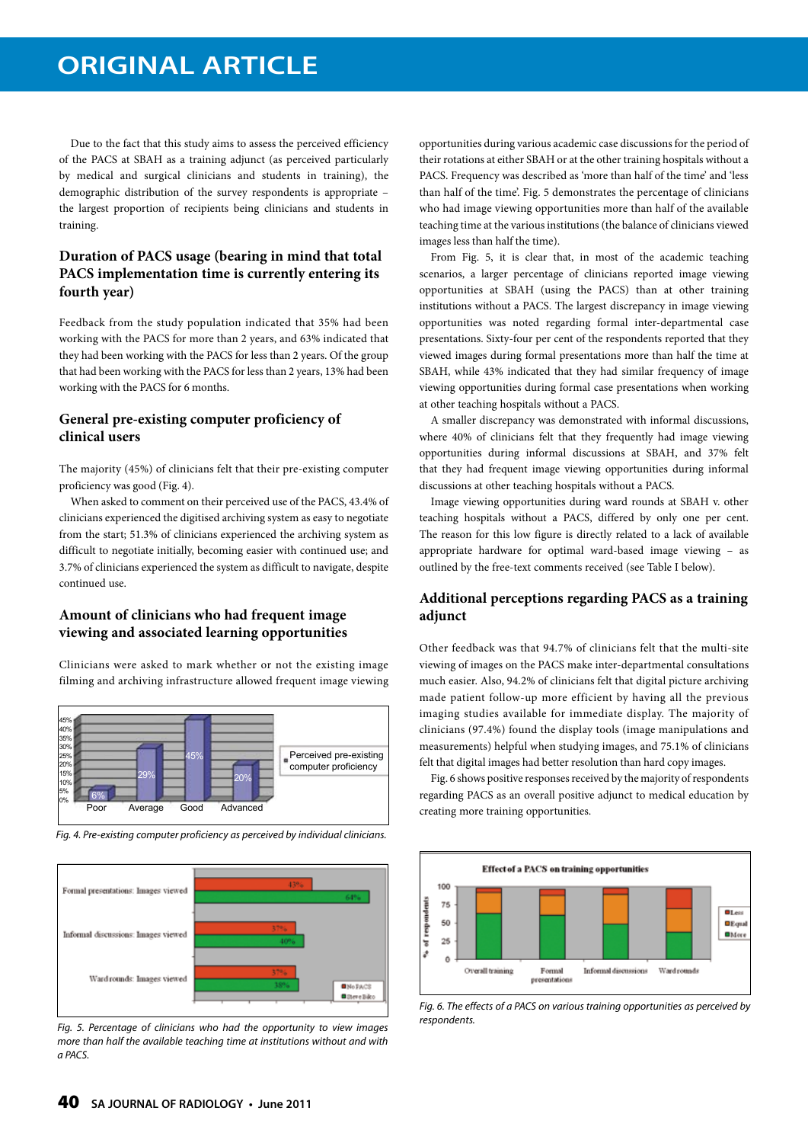### **ORIGINAL ARTICLE**

Due to the fact that this study aims to assess the perceived efficiency of the PACS at SBAH as a training adjunct (as perceived particularly by medical and surgical clinicians and students in training), the demographic distribution of the survey respondents is appropriate – the largest proportion of recipients being clinicians and students in training.

### **Duration of PACS usage (bearing in mind that total PACS implementation time is currently entering its fourth year)**

Feedback from the study population indicated that 35% had been working with the PACS for more than 2 years, and 63% indicated that they had been working with the PACS for less than 2 years. Of the group that had been working with the PACS for less than 2 years, 13% had been working with the PACS for 6 months.

### **General pre-existing computer proficiency of clinical users**

The majority (45%) of clinicians felt that their pre-existing computer proficiency was good (Fig. 4).

When asked to comment on their perceived use of the PACS, 43.4% of clinicians experienced the digitised archiving system as easy to negotiate from the start; 51.3% of clinicians experienced the archiving system as difficult to negotiate initially, becoming easier with continued use; and 3.7% of clinicians experienced the system as difficult to navigate, despite continued use.

### **Amount of clinicians who had frequent image viewing and associated learning opportunities**

Clinicians were asked to mark whether or not the existing image filming and archiving infrastructure allowed frequent image viewing



*Fig. 4. Pre-existing computer proficiency as perceived by individual clinicians.*



*Fig. 5. Percentage of clinicians who had the opportunity to view images more than half the available teaching time at institutions without and with a PACS.*

opportunities during various academic case discussions for the period of their rotations at either SBAH or at the other training hospitals without a PACS. Frequency was described as 'more than half of the time' and 'less than half of the time'. Fig. 5 demonstrates the percentage of clinicians who had image viewing opportunities more than half of the available teaching time at the various institutions (the balance of clinicians viewed images less than half the time).

From Fig. 5, it is clear that, in most of the academic teaching scenarios, a larger percentage of clinicians reported image viewing opportunities at SBAH (using the PACS) than at other training institutions without a PACS. The largest discrepancy in image viewing opportunities was noted regarding formal inter-departmental case presentations. Sixty-four per cent of the respondents reported that they viewed images during formal presentations more than half the time at SBAH, while 43% indicated that they had similar frequency of image viewing opportunities during formal case presentations when working at other teaching hospitals without a PACS.

A smaller discrepancy was demonstrated with informal discussions, where 40% of clinicians felt that they frequently had image viewing opportunities during informal discussions at SBAH, and 37% felt that they had frequent image viewing opportunities during informal discussions at other teaching hospitals without a PACS.

Image viewing opportunities during ward rounds at SBAH v. other teaching hospitals without a PACS, differed by only one per cent. The reason for this low figure is directly related to a lack of available appropriate hardware for optimal ward-based image viewing – as outlined by the free-text comments received (see Table I below).

### **Additional perceptions regarding PACS as a training adjunct**

Other feedback was that 94.7% of clinicians felt that the multi-site viewing of images on the PACS make inter-departmental consultations much easier. Also, 94.2% of clinicians felt that digital picture archiving made patient follow-up more efficient by having all the previous imaging studies available for immediate display. The majority of clinicians (97.4%) found the display tools (image manipulations and measurements) helpful when studying images, and 75.1% of clinicians felt that digital images had better resolution than hard copy images.

Fig. 6 shows positive responses received by the majority of respondents regarding PACS as an overall positive adjunct to medical education by creating more training opportunities.



*Fig. 6. The effects of a PACS on various training opportunities as perceived by respondents.*